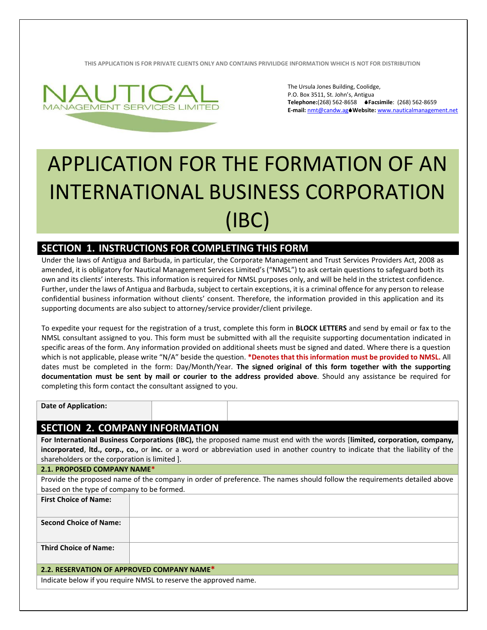**THIS APPLICATION IS FOR PRIVATE CLIENTS ONLY AND CONTAINS PRIVILIDGE INFORMATION WHICH IS NOT FOR DISTRIBUTION**



The Ursula Jones Building, Coolidge, P.O. Box 3511, St. John's, Antigua **Telephone:**(268) 562-8658 **Facsimile**: (268) 562-8659 **E-mail:** [nmt@candw.ag](mailto:nmt@candw.ag)**Website:** www.nauticalmanagement.net

# APPLICATION FOR THE FORMATION OF AN INTERNATIONAL BUSINESS CORPORATION (IBC)

## **SECTION 1. INSTRUCTIONS FOR COMPLETING THIS FORM**

Under the laws of Antigua and Barbuda, in particular, the Corporate Management and Trust Services Providers Act, 2008 as amended, it is obligatory for Nautical Management Services Limited's ("NMSL") to ask certain questions to safeguard both its own and its clients' interests. This information is required for NMSL purposes only, and will be held in the strictest confidence. Further, under the laws of Antigua and Barbuda, subject to certain exceptions, it is a criminal offence for any person to release confidential business information without clients' consent. Therefore, the information provided in this application and its supporting documents are also subject to attorney/service provider/client privilege.

To expedite your request for the registration of a trust, complete this form in **BLOCK LETTERS** and send by email or fax to the NMSL consultant assigned to you. This form must be submitted with all the requisite supporting documentation indicated in specific areas of the form. Any information provided on additional sheets must be signed and dated. Where there is a question which is not applicable, please write "N/A" beside the question. **\*Denotes that this information must be provided to NMSL.** All dates must be completed in the form: Day/Month/Year. **The signed original of this form together with the supporting documentation must be sent by mail or courier to the address provided above**. Should any assistance be required for completing this form contact the consultant assigned to you.

**Date of Application:**

**First Choice of Name:**

## **SECTION 2. COMPANY INFORMATION**

**For International Business Corporations (IBC),** the proposed name must end with the words [**limited, corporation, company, incorporated**, **ltd., corp., co.,** or **inc.** or a word or abbreviation used in another country to indicate that the liability of the shareholders or the corporation is limited ].

#### **2.1. PROPOSED COMPANY NAME\***

Provide the proposed name of the company in order of preference. The names should follow the requirements detailed above based on the type of company to be formed.

| First Undice of Name:                      |                                                                  |
|--------------------------------------------|------------------------------------------------------------------|
| <b>Second Choice of Name:</b>              |                                                                  |
| <b>Third Choice of Name:</b>               |                                                                  |
| 2.2. RESERVATION OF APPROVED COMPANY NAME* |                                                                  |
|                                            | Indicate below if you require NMSL to reserve the approved name. |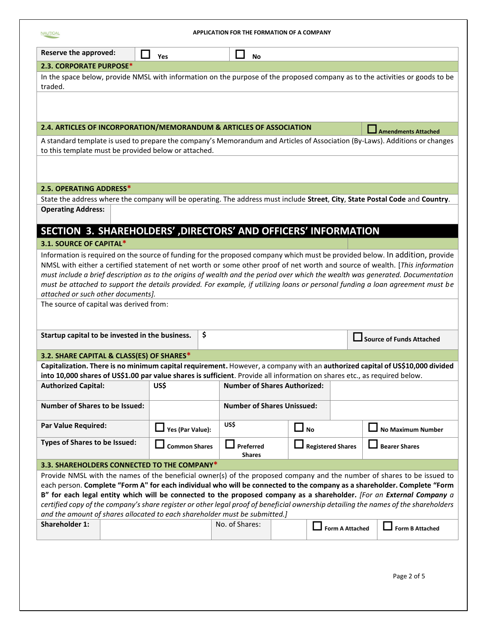| APPLICATION FOR THE FORMATION OF A COMPANY<br><b>NAUTICAL</b>                                                                                                                                                                                                                                                                                                                                                                                                                                                                                                                                     |                       |    |                                     |              |                          |                            |
|---------------------------------------------------------------------------------------------------------------------------------------------------------------------------------------------------------------------------------------------------------------------------------------------------------------------------------------------------------------------------------------------------------------------------------------------------------------------------------------------------------------------------------------------------------------------------------------------------|-----------------------|----|-------------------------------------|--------------|--------------------------|----------------------------|
| <b>Reserve the approved:</b>                                                                                                                                                                                                                                                                                                                                                                                                                                                                                                                                                                      | $\blacksquare$<br>Yes |    | $\mathbf{1}$<br><b>No</b>           |              |                          |                            |
| 2.3. CORPORATE PURPOSE*                                                                                                                                                                                                                                                                                                                                                                                                                                                                                                                                                                           |                       |    |                                     |              |                          |                            |
| In the space below, provide NMSL with information on the purpose of the proposed company as to the activities or goods to be<br>traded.                                                                                                                                                                                                                                                                                                                                                                                                                                                           |                       |    |                                     |              |                          |                            |
|                                                                                                                                                                                                                                                                                                                                                                                                                                                                                                                                                                                                   |                       |    |                                     |              |                          |                            |
| 2.4. ARTICLES OF INCORPORATION/MEMORANDUM & ARTICLES OF ASSOCIATION                                                                                                                                                                                                                                                                                                                                                                                                                                                                                                                               |                       |    |                                     |              |                          | <b>Amendments Attached</b> |
| A standard template is used to prepare the company's Memorandum and Articles of Association (By-Laws). Additions or changes<br>to this template must be provided below or attached.                                                                                                                                                                                                                                                                                                                                                                                                               |                       |    |                                     |              |                          |                            |
|                                                                                                                                                                                                                                                                                                                                                                                                                                                                                                                                                                                                   |                       |    |                                     |              |                          |                            |
| 2.5. OPERATING ADDRESS*                                                                                                                                                                                                                                                                                                                                                                                                                                                                                                                                                                           |                       |    |                                     |              |                          |                            |
| State the address where the company will be operating. The address must include Street, City, State Postal Code and Country.                                                                                                                                                                                                                                                                                                                                                                                                                                                                      |                       |    |                                     |              |                          |                            |
| <b>Operating Address:</b>                                                                                                                                                                                                                                                                                                                                                                                                                                                                                                                                                                         |                       |    |                                     |              |                          |                            |
| SECTION 3. SHAREHOLDERS', DIRECTORS' AND OFFICERS' INFORMATION                                                                                                                                                                                                                                                                                                                                                                                                                                                                                                                                    |                       |    |                                     |              |                          |                            |
| 3.1. SOURCE OF CAPITAL*                                                                                                                                                                                                                                                                                                                                                                                                                                                                                                                                                                           |                       |    |                                     |              |                          |                            |
| Information is required on the source of funding for the proposed company which must be provided below. In addition, provide<br>NMSL with either a certified statement of net worth or some other proof of net worth and source of wealth. [This information<br>must include a brief description as to the origins of wealth and the period over which the wealth was generated. Documentation<br>must be attached to support the details provided. For example, if utilizing loans or personal funding a loan agreement must be<br>attached or such other documents].                            |                       |    |                                     |              |                          |                            |
| The source of capital was derived from:                                                                                                                                                                                                                                                                                                                                                                                                                                                                                                                                                           |                       |    |                                     |              |                          |                            |
| Startup capital to be invested in the business.                                                                                                                                                                                                                                                                                                                                                                                                                                                                                                                                                   |                       | \$ |                                     |              |                          | Source of Funds Attached   |
| 3.2. SHARE CAPITAL & CLASS(ES) OF SHARES*                                                                                                                                                                                                                                                                                                                                                                                                                                                                                                                                                         |                       |    |                                     |              |                          |                            |
| Capitalization. There is no minimum capital requirement. However, a company with an authorized capital of US\$10,000 divided<br>into 10,000 shares of US\$1.00 par value shares is sufficient. Provide all information on shares etc., as required below.                                                                                                                                                                                                                                                                                                                                         |                       |    |                                     |              |                          |                            |
| <b>Authorized Capital:</b>                                                                                                                                                                                                                                                                                                                                                                                                                                                                                                                                                                        | US\$                  |    | <b>Number of Shares Authorized:</b> |              |                          |                            |
| <b>Number of Shares to be Issued:</b>                                                                                                                                                                                                                                                                                                                                                                                                                                                                                                                                                             |                       |    | <b>Number of Shares Unissued:</b>   |              |                          |                            |
| <b>Par Value Required:</b>                                                                                                                                                                                                                                                                                                                                                                                                                                                                                                                                                                        | Yes (Par Value):      |    | US\$                                | $\square$ No |                          | <b>No Maximum Number</b>   |
| Types of Shares to be Issued:                                                                                                                                                                                                                                                                                                                                                                                                                                                                                                                                                                     | <b>Common Shares</b>  |    | Preferred<br><b>Shares</b>          |              | <b>Registered Shares</b> | <b>Bearer Shares</b>       |
| 3.3. SHAREHOLDERS CONNECTED TO THE COMPANY*                                                                                                                                                                                                                                                                                                                                                                                                                                                                                                                                                       |                       |    |                                     |              |                          |                            |
| Provide NMSL with the names of the beneficial owner(s) of the proposed company and the number of shares to be issued to<br>each person. Complete "Form A" for each individual who will be connected to the company as a shareholder. Complete "Form<br>B" for each legal entity which will be connected to the proposed company as a shareholder. [For an External Company a<br>certified copy of the company's share register or other legal proof of beneficial ownership detailing the names of the shareholders<br>and the amount of shares allocated to each shareholder must be submitted.] |                       |    |                                     |              |                          |                            |
| <b>Shareholder 1:</b>                                                                                                                                                                                                                                                                                                                                                                                                                                                                                                                                                                             |                       |    | No. of Shares:                      |              | <b>Form A Attached</b>   | <b>Form B Attached</b>     |
|                                                                                                                                                                                                                                                                                                                                                                                                                                                                                                                                                                                                   |                       |    |                                     |              |                          |                            |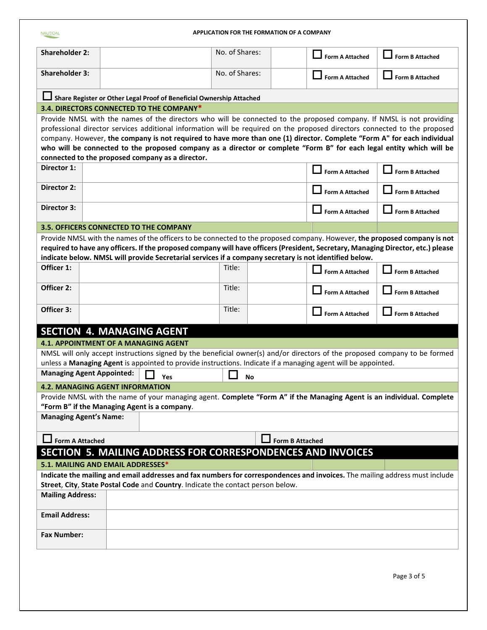| <b>APPLICATION FOR THE FORMATION OF A COMPANY</b><br><b>NAUTICAL</b> |                                                  |                                                                                                               |                  |    |                        |                                                                                                                                                                                                                                                 |  |
|----------------------------------------------------------------------|--------------------------------------------------|---------------------------------------------------------------------------------------------------------------|------------------|----|------------------------|-------------------------------------------------------------------------------------------------------------------------------------------------------------------------------------------------------------------------------------------------|--|
| <b>Shareholder 2:</b>                                                |                                                  |                                                                                                               | No. of Shares:   |    | <b>Form A Attached</b> | <b>Form B Attached</b>                                                                                                                                                                                                                          |  |
| <b>Shareholder 3:</b>                                                |                                                  |                                                                                                               | No. of Shares:   |    | <b>Form A Attached</b> | <b>Form B Attached</b>                                                                                                                                                                                                                          |  |
|                                                                      |                                                  | Share Register or Other Legal Proof of Beneficial Ownership Attached                                          |                  |    |                        |                                                                                                                                                                                                                                                 |  |
|                                                                      |                                                  | 3.4. DIRECTORS CONNECTED TO THE COMPANY*                                                                      |                  |    |                        |                                                                                                                                                                                                                                                 |  |
|                                                                      |                                                  |                                                                                                               |                  |    |                        | Provide NMSL with the names of the directors who will be connected to the proposed company. If NMSL is not providing                                                                                                                            |  |
|                                                                      |                                                  |                                                                                                               |                  |    |                        | professional director services additional information will be required on the proposed directors connected to the proposed                                                                                                                      |  |
|                                                                      |                                                  |                                                                                                               |                  |    |                        | company. However, the company is not required to have more than one (1) director. Complete "Form A" for each individual<br>who will be connected to the proposed company as a director or complete "Form B" for each legal entity which will be |  |
|                                                                      |                                                  | connected to the proposed company as a director.                                                              |                  |    |                        |                                                                                                                                                                                                                                                 |  |
| Director 1:                                                          |                                                  |                                                                                                               |                  |    | <b>Form A Attached</b> | <b>Form B Attached</b>                                                                                                                                                                                                                          |  |
| <b>Director 2:</b>                                                   |                                                  |                                                                                                               |                  |    | <b>Form A Attached</b> | <b>Form B Attached</b>                                                                                                                                                                                                                          |  |
| Director 3:                                                          |                                                  |                                                                                                               |                  |    | <b>Form A Attached</b> | <b>Form B Attached</b>                                                                                                                                                                                                                          |  |
|                                                                      |                                                  | 3.5. OFFICERS CONNECTED TO THE COMPANY                                                                        |                  |    |                        |                                                                                                                                                                                                                                                 |  |
|                                                                      |                                                  |                                                                                                               |                  |    |                        | Provide NMSL with the names of the officers to be connected to the proposed company. However, the proposed company is not                                                                                                                       |  |
|                                                                      |                                                  | indicate below. NMSL will provide Secretarial services if a company secretary is not identified below.        |                  |    |                        | required to have any officers. If the proposed company will have officers (President, Secretary, Managing Director, etc.) please                                                                                                                |  |
| Officer 1:                                                           |                                                  |                                                                                                               | Title:           |    |                        |                                                                                                                                                                                                                                                 |  |
|                                                                      |                                                  |                                                                                                               |                  |    | <b>Form A Attached</b> | <b>Form B Attached</b>                                                                                                                                                                                                                          |  |
| Officer 2:                                                           |                                                  |                                                                                                               | Title:<br>Title: |    | <b>Form A Attached</b> | <b>Form B Attached</b>                                                                                                                                                                                                                          |  |
| Officer 3:                                                           |                                                  |                                                                                                               |                  |    | <b>Form A Attached</b> | <b>Form B Attached</b>                                                                                                                                                                                                                          |  |
|                                                                      | <b>SECTION 4. MANAGING AGENT</b>                 |                                                                                                               |                  |    |                        |                                                                                                                                                                                                                                                 |  |
|                                                                      | <b>4.1. APPOINTMENT OF A MANAGING AGENT</b>      |                                                                                                               |                  |    |                        |                                                                                                                                                                                                                                                 |  |
|                                                                      |                                                  |                                                                                                               |                  |    |                        | NMSL will only accept instructions signed by the beneficial owner(s) and/or directors of the proposed company to be formed                                                                                                                      |  |
|                                                                      | <b>Managing Agent Appointed:</b>                 | unless a Managing Agent is appointed to provide instructions. Indicate if a managing agent will be appointed. |                  |    |                        |                                                                                                                                                                                                                                                 |  |
|                                                                      |                                                  | Yes                                                                                                           |                  | No |                        |                                                                                                                                                                                                                                                 |  |
|                                                                      | <b>4.2. MANAGING AGENT INFORMATION</b>           |                                                                                                               |                  |    |                        | Provide NMSL with the name of your managing agent. Complete "Form A" if the Managing Agent is an individual. Complete                                                                                                                           |  |
|                                                                      |                                                  | "Form B" if the Managing Agent is a company.                                                                  |                  |    |                        |                                                                                                                                                                                                                                                 |  |
| <b>Managing Agent's Name:</b>                                        |                                                  |                                                                                                               |                  |    |                        |                                                                                                                                                                                                                                                 |  |
|                                                                      | <b>Form A Attached</b><br><b>Form B Attached</b> |                                                                                                               |                  |    |                        |                                                                                                                                                                                                                                                 |  |
| SECTION 5. MAILING ADDRESS FOR CORRESPONDENCES AND INVOICES          |                                                  |                                                                                                               |                  |    |                        |                                                                                                                                                                                                                                                 |  |
|                                                                      | 5.1. MAILING AND EMAIL ADDRESSES*                |                                                                                                               |                  |    |                        |                                                                                                                                                                                                                                                 |  |
|                                                                      |                                                  |                                                                                                               |                  |    |                        | Indicate the mailing and email addresses and fax numbers for correspondences and invoices. The mailing address must include                                                                                                                     |  |
|                                                                      |                                                  | Street, City, State Postal Code and Country. Indicate the contact person below.                               |                  |    |                        |                                                                                                                                                                                                                                                 |  |
| <b>Mailing Address:</b>                                              |                                                  |                                                                                                               |                  |    |                        |                                                                                                                                                                                                                                                 |  |
| <b>Email Address:</b>                                                |                                                  |                                                                                                               |                  |    |                        |                                                                                                                                                                                                                                                 |  |
| <b>Fax Number:</b>                                                   |                                                  |                                                                                                               |                  |    |                        |                                                                                                                                                                                                                                                 |  |
|                                                                      |                                                  |                                                                                                               |                  |    |                        |                                                                                                                                                                                                                                                 |  |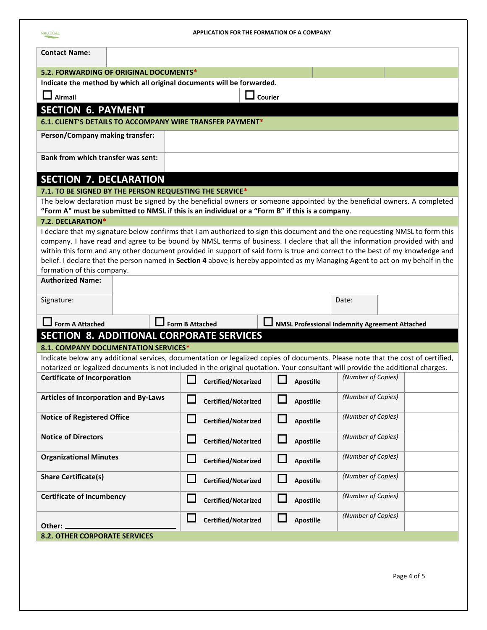| <b>APPLICATION FOR THE FORMATION OF A COMPANY</b><br><b>NAUTICAL</b>                                                             |                            |                            |                                                |  |  |  |  |  |
|----------------------------------------------------------------------------------------------------------------------------------|----------------------------|----------------------------|------------------------------------------------|--|--|--|--|--|
| <b>Contact Name:</b>                                                                                                             |                            |                            |                                                |  |  |  |  |  |
| 5.2. FORWARDING OF ORIGINAL DOCUMENTS*                                                                                           |                            |                            |                                                |  |  |  |  |  |
| Indicate the method by which all original documents will be forwarded.                                                           |                            |                            |                                                |  |  |  |  |  |
| $\Box$ Airmail                                                                                                                   | Courier                    |                            |                                                |  |  |  |  |  |
| <b>SECTION 6. PAYMENT</b>                                                                                                        |                            |                            |                                                |  |  |  |  |  |
| 6.1. CLIENT'S DETAILS TO ACCOMPANY WIRE TRANSFER PAYMENT*                                                                        |                            |                            |                                                |  |  |  |  |  |
| Person/Company making transfer:                                                                                                  |                            |                            |                                                |  |  |  |  |  |
| <b>Bank from which transfer was sent:</b>                                                                                        |                            |                            |                                                |  |  |  |  |  |
| <b>SECTION 7. DECLARATION</b>                                                                                                    |                            |                            |                                                |  |  |  |  |  |
| 7.1. TO BE SIGNED BY THE PERSON REQUESTING THE SERVICE*                                                                          |                            |                            |                                                |  |  |  |  |  |
| The below declaration must be signed by the beneficial owners or someone appointed by the beneficial owners. A completed         |                            |                            |                                                |  |  |  |  |  |
| "Form A" must be submitted to NMSL if this is an individual or a "Form B" if this is a company.                                  |                            |                            |                                                |  |  |  |  |  |
| 7.2. DECLARATION*                                                                                                                |                            |                            |                                                |  |  |  |  |  |
| I declare that my signature below confirms that I am authorized to sign this document and the one requesting NMSL to form this   |                            |                            |                                                |  |  |  |  |  |
| company. I have read and agree to be bound by NMSL terms of business. I declare that all the information provided with and       |                            |                            |                                                |  |  |  |  |  |
| within this form and any other document provided in support of said form is true and correct to the best of my knowledge and     |                            |                            |                                                |  |  |  |  |  |
| belief. I declare that the person named in Section 4 above is hereby appointed as my Managing Agent to act on my behalf in the   |                            |                            |                                                |  |  |  |  |  |
| formation of this company.                                                                                                       |                            |                            |                                                |  |  |  |  |  |
| <b>Authorized Name:</b>                                                                                                          |                            |                            |                                                |  |  |  |  |  |
| Signature:                                                                                                                       |                            |                            | Date:                                          |  |  |  |  |  |
| $\Box$ Form A Attached                                                                                                           | Form B Attached            |                            | NMSL Professional Indemnity Agreement Attached |  |  |  |  |  |
| <b>SECTION 8. ADDITIONAL CORPORATE SERVICES</b>                                                                                  |                            |                            |                                                |  |  |  |  |  |
| 8.1. COMPANY DOCUMENTATION SERVICES*                                                                                             |                            |                            |                                                |  |  |  |  |  |
| Indicate below any additional services, documentation or legalized copies of documents. Please note that the cost of certified,  |                            |                            |                                                |  |  |  |  |  |
| notarized or legalized documents is not included in the original quotation. Your consultant will provide the additional charges. |                            |                            |                                                |  |  |  |  |  |
| <b>Certificate of Incorporation</b>                                                                                              | П<br>Certified/Notarized   | $\Box$<br><b>Apostille</b> | (Number of Copies)                             |  |  |  |  |  |
| Articles of Incorporation and By-Laws                                                                                            | <b>Certified/Notarized</b> | Apostille                  | (Number of Copies)                             |  |  |  |  |  |
| <b>Notice of Registered Office</b>                                                                                               | Certified/Notarized        | <b>Apostille</b>           | (Number of Copies)                             |  |  |  |  |  |
| <b>Notice of Directors</b>                                                                                                       | Certified/Notarized        | <b>Apostille</b>           | (Number of Copies)                             |  |  |  |  |  |
| <b>Organizational Minutes</b>                                                                                                    | Certified/Notarized        | <b>Apostille</b>           | (Number of Copies)                             |  |  |  |  |  |
| <b>Share Certificate(s)</b>                                                                                                      | Certified/Notarized        | <b>Apostille</b>           | (Number of Copies)                             |  |  |  |  |  |
| <b>Certificate of Incumbency</b>                                                                                                 | Certified/Notarized        | <b>Apostille</b>           | (Number of Copies)                             |  |  |  |  |  |
| Other: _                                                                                                                         | Certified/Notarized        | <b>Apostille</b>           | (Number of Copies)                             |  |  |  |  |  |
| <b>8.2. OTHER CORPORATE SERVICES</b>                                                                                             |                            |                            |                                                |  |  |  |  |  |